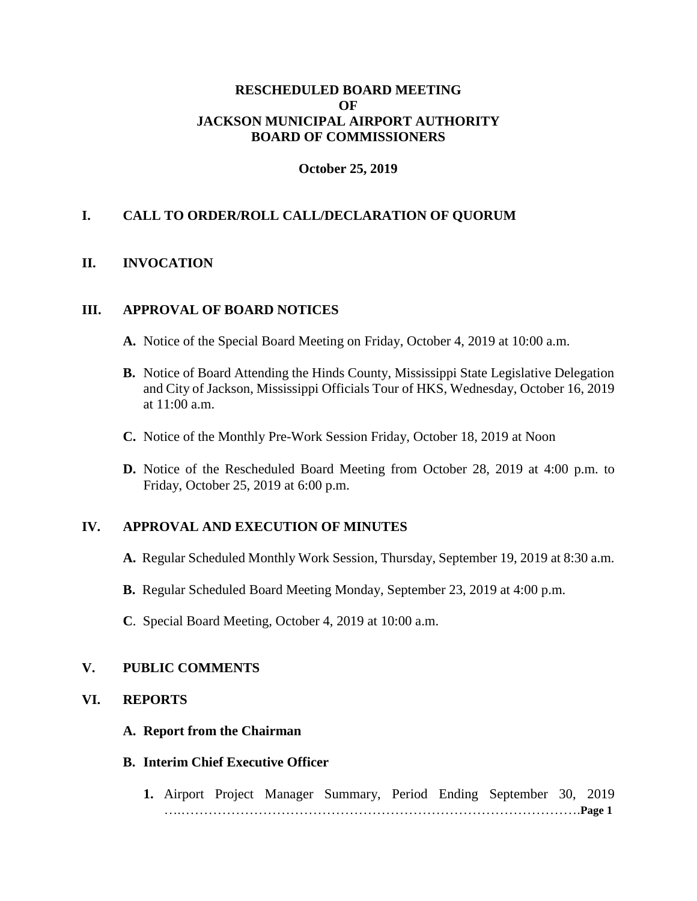# **RESCHEDULED BOARD MEETING OF JACKSON MUNICIPAL AIRPORT AUTHORITY BOARD OF COMMISSIONERS**

# **October 25, 2019**

# **I. CALL TO ORDER/ROLL CALL/DECLARATION OF QUORUM**

# **II. INVOCATION**

## **III. APPROVAL OF BOARD NOTICES**

- **A.** Notice of the Special Board Meeting on Friday, October 4, 2019 at 10:00 a.m.
- **B.** Notice of Board Attending the Hinds County, Mississippi State Legislative Delegation and City of Jackson, Mississippi Officials Tour of HKS, Wednesday, October 16, 2019 at 11:00 a.m.
- **C.** Notice of the Monthly Pre-Work Session Friday, October 18, 2019 at Noon
- **D.** Notice of the Rescheduled Board Meeting from October 28, 2019 at 4:00 p.m. to Friday, October 25, 2019 at 6:00 p.m.

# **IV. APPROVAL AND EXECUTION OF MINUTES**

- **A.** Regular Scheduled Monthly Work Session, Thursday, September 19, 2019 at 8:30 a.m.
- **B.** Regular Scheduled Board Meeting Monday, September 23, 2019 at 4:00 p.m.
- **C**. Special Board Meeting, October 4, 2019 at 10:00 a.m.

# **V. PUBLIC COMMENTS**

#### **VI. REPORTS**

#### **A. Report from the Chairman**

#### **B. Interim Chief Executive Officer**

**1.** Airport Project Manager Summary, Period Ending September 30, 2019 ….…………………………………………………………………………….**Page 1**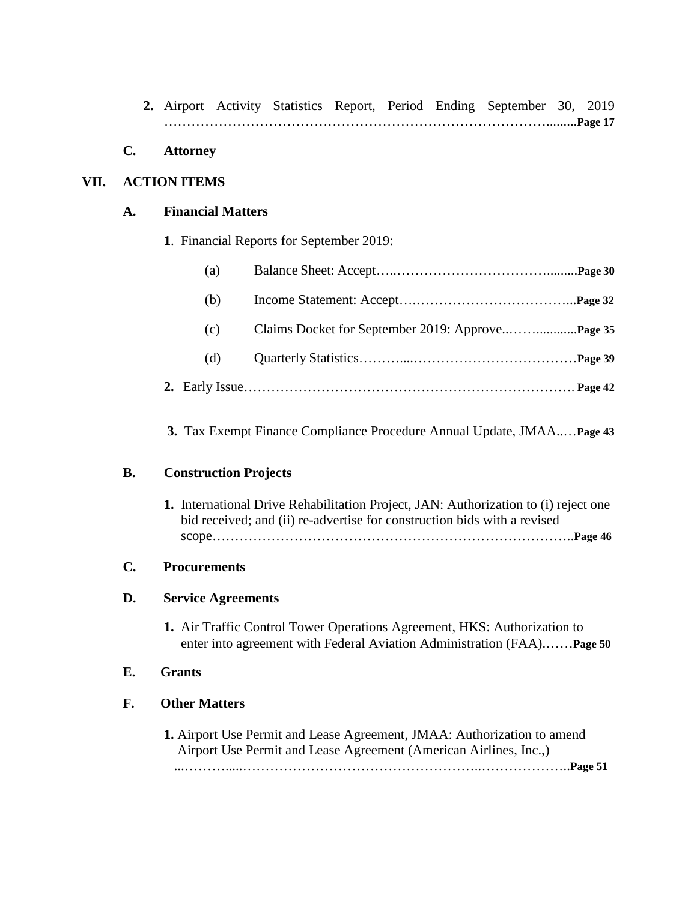**2.** Airport Activity Statistics Report, Period Ending September 30, 2019 ………………………………………………………………………….........**Page 17**

## **C. Attorney**

## **VII. ACTION ITEMS**

#### **A. Financial Matters**

**1**. Financial Reports for September 2019:

| (a) |  |
|-----|--|
| (b) |  |
| (c) |  |
| (d) |  |
|     |  |

## **3.** Tax Exempt Finance Compliance Procedure Annual Update, JMAA..…**Page 43**

#### **B. Construction Projects**

**1.** International Drive Rehabilitation Project, JAN: Authorization to (i) reject one bid received; and (ii) re-advertise for construction bids with a revised scope……………………………………………………………………..**Page 46**

#### **C. Procurements**

## **D. Service Agreements**

**1.** Air Traffic Control Tower Operations Agreement, HKS: Authorization to enter into agreement with Federal Aviation Administration (FAA).……**Page 50**

# **E. Grants**

## **F. Other Matters**

**1.** Airport Use Permit and Lease Agreement, JMAA: Authorization to amend Airport Use Permit and Lease Agreement (American Airlines, Inc.,) ...……….....……………………………………………..………………..**Page 51**